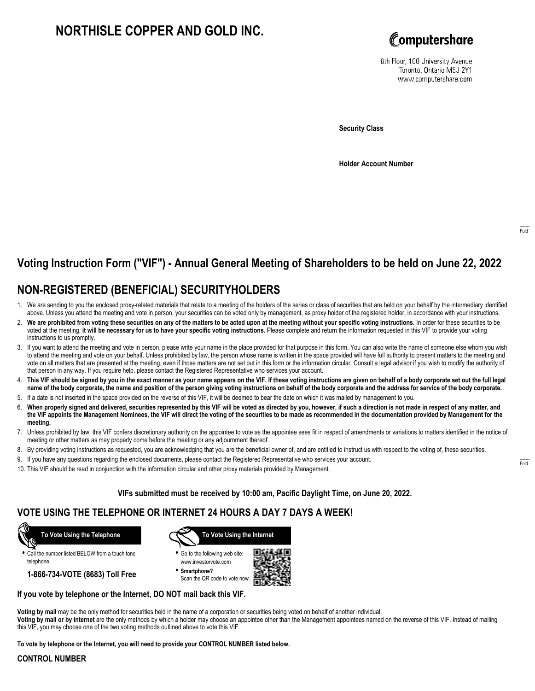# **NORTHISLE COPPER AND GOLD INC.**



8th Floor, 100 University Avenue Toronto, Ontario M5J 2Y1 www.computershare.com

**Security Class**

**Holder Account Number**

# **Voting Instruction Form ("VIF") - Annual General Meeting of Shareholders to be held on June 22, 2022**

## **NON-REGISTERED (BENEFICIAL) SECURITYHOLDERS**

- 1. We are sending to you the enclosed proxy-related materials that relate to a meeting of the holders of the series or class of securities that are held on your behalf by the intermediary identified above. Unless you attend the meeting and vote in person, your securities can be voted only by management, as proxy holder of the registered holder, in accordance with your instructions.
- 2. **We are prohibited from voting these securities on any of the matters to be acted upon at the meeting without your specific voting instructions.** In order for these securities to be voted at the meeting, **it will be necessary for us to have your specific voting instructions.** Please complete and return the information requested in this VIF to provide your voting instructions to us promptly.
- 3. If you want to attend the meeting and vote in person, please write your name in the place provided for that purpose in this form. You can also write the name of someone else whom you wish to attend the meeting and vote on your behalf. Unless prohibited by law, the person whose name is written in the space provided will have full authority to present matters to the meeting and vote on all matters that are presented at the meeting, even if those matters are not set out in this form or the information circular. Consult a legal advisor if you wish to modify the authority of that person in any way. If you require help, please contact the Registered Representative who services your account.
- 4. **This VIF should be signed by you in the exact manner as your name appears on the VIF. If these voting instructions are given on behalf of a body corporate set out the full legal name of the body corporate, the name and position of the person giving voting instructions on behalf of the body corporate and the address for service of the body corporate.**
- 5. If a date is not inserted in the space provided on the reverse of this VIF, it will be deemed to bear the date on which it was mailed by management to you.
- 6. **When properly signed and delivered, securities represented by this VIF will be voted as directed by you, however, if such a direction is not made in respect of any matter, and the VIF appoints the Management Nominees, the VIF will direct the voting of the securities to be made as recommended in the documentation provided by Management for the meeting.**
- 7. Unless prohibited by law, this VIF confers discretionary authority on the appointee to vote as the appointee sees fit in respect of amendments or variations to matters identified in the notice of meeting or other matters as may properly come before the meeting or any adjournment thereof.
- 8. By providing voting instructions as requested, you are acknowledging that you are the beneficial owner of, and are entitled to instruct us with respect to the voting of, these securities.
- 9. If you have any questions regarding the enclosed documents, please contact the Registered Representative who services your account.
- 10. This VIF should be read in conjunction with the information circular and other proxy materials provided by Management.

### **VIFs submitted must be received by 10:00 am, Pacific Daylight Time, on June 20, 2022.**

### **VOTE USING THE TELEPHONE OR INTERNET 24 HOURS A DAY 7 DAYS A WEEK!**



**•** Call the number listed BELOW from a touch tone telephone.

**1-866-734-VOTE (8683) Toll Free**



- **•** Go to the following web site: www.investorvote.com
- **• Smartphone?** Scan the QR code to vote now.



### **If you vote by telephone or the Internet, DO NOT mail back this VIF.**

**Voting by mail** may be the only method for securities held in the name of a corporation or securities being voted on behalf of another individual. **Voting by mail or by Internet** are the only methods by which a holder may choose an appointee other than the Management appointees named on the reverse of this VIF. Instead of mailing this VIF, you may choose one of the two voting methods outlined above to vote this VIF.

**To vote by telephone or the Internet, you will need to provide your CONTROL NUMBER listed below.**

#### **CONTROL NUMBER**